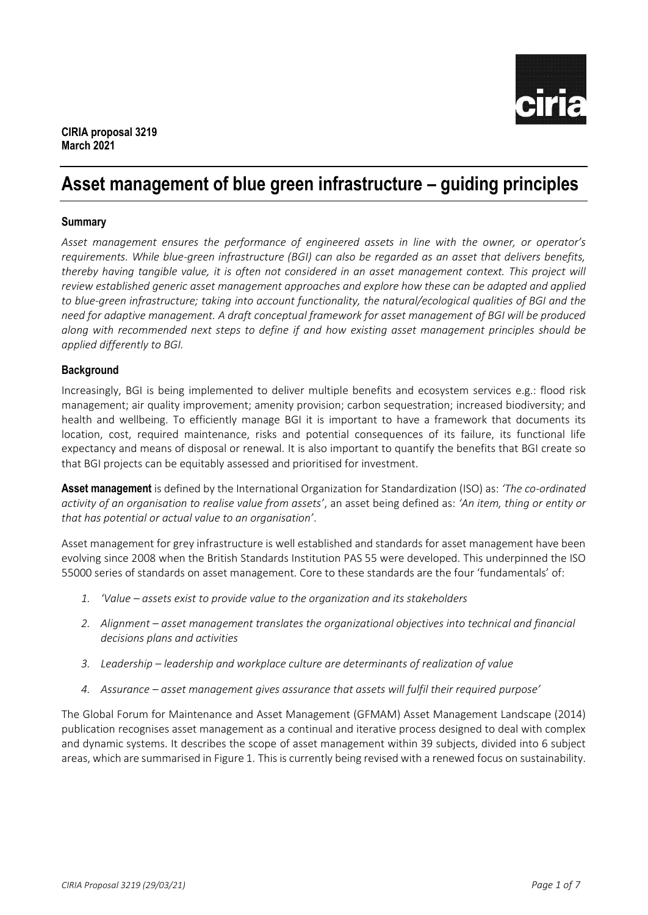

# **Asset management of blue green infrastructure – guiding principles**

# **Summary**

*Asset management ensures the performance of engineered assets in line with the owner, or operator's requirements. While blue-green infrastructure (BGI) can also be regarded as an asset that delivers benefits, thereby having tangible value, it is often not considered in an asset management context. This project will review established generic asset management approaches and explore how these can be adapted and applied to blue-green infrastructure; taking into account functionality, the natural/ecological qualities of BGI and the need for adaptive management. A draft conceptual framework for asset management of BGI will be produced along with recommended next steps to define if and how existing asset management principles should be applied differently to BGI.*

### **Background**

Increasingly, BGI is being implemented to deliver multiple benefits and ecosystem services e.g.: flood risk management; air quality improvement; amenity provision; carbon sequestration; increased biodiversity; and health and wellbeing. To efficiently manage BGI it is important to have a framework that documents its location, cost, required maintenance, risks and potential consequences of its failure, its functional life expectancy and means of disposal or renewal. It is also important to quantify the benefits that BGI create so that BGI projects can be equitably assessed and prioritised for investment.

**Asset management** is defined by the International Organization for Standardization (ISO) as: *'The co-ordinated activity of an organisation to realise value from assets'*, an asset being defined as: *'An item, thing or entity or that has potential or actual value to an organisation'*.

Asset management for grey infrastructure is well established and standards for asset management have been evolving since 2008 when the British Standards Institution PAS 55 were developed. This underpinned the ISO 55000 series of standards on asset management. Core to these standards are the four 'fundamentals' of:

- *1. 'Value – assets exist to provide value to the organization and its stakeholders*
- *2. Alignment – asset management translates the organizational objectives into technical and financial decisions plans and activities*
- *3. Leadership – leadership and workplace culture are determinants of realization of value*
- 4. Assurance asset management gives assurance that assets will fulfil their required purpose'

The Global Forum for Maintenance and Asset Management (GFMAM) Asset Management Landscape (2014) publication recognises asset management as a continual and iterative process designed to deal with complex and dynamic systems. It describes the scope of asset management within 39 subjects, divided into 6 subject areas, which are summarised in Figure 1. This is currently being revised with a renewed focus on sustainability.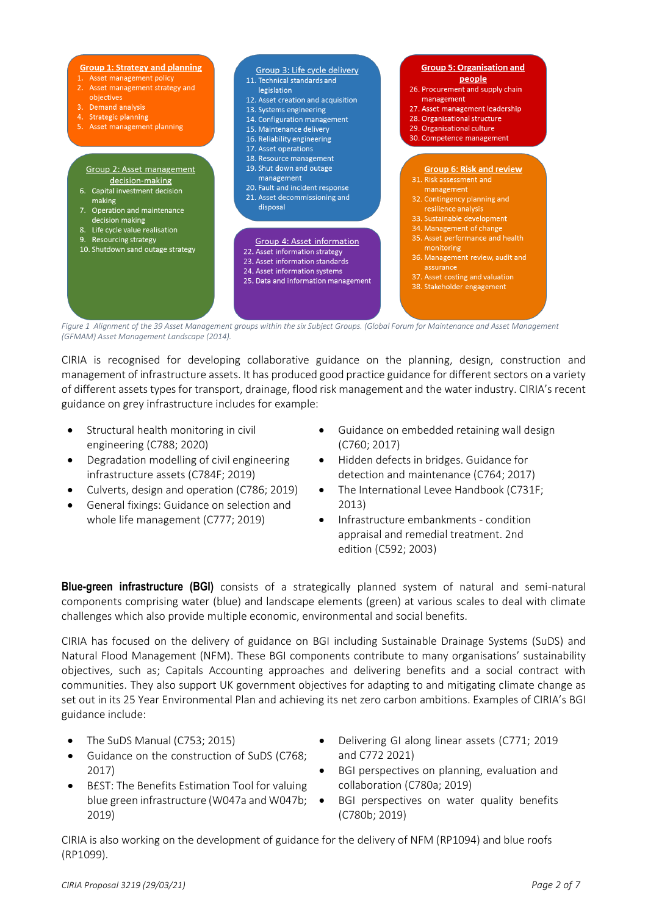

*Figure 1 Alignment of the 39 Asset Management groups within the six Subject Groups. (Global Forum for Maintenance and Asset Management (GFMAM) Asset Management Landscape (2014).* 

CIRIA is recognised for developing collaborative guidance on the planning, design, construction and management of infrastructure assets. It has produced good practice guidance for different sectors on a variety of different assets types for transport, drainage, flood risk management and the water industry. CIRIA's recent guidance on grey infrastructure includes for example:

- Structural health monitoring in civil engineering (C788; 2020)
- Degradation modelling of civil engineering infrastructure assets (C784F; 2019)
- Culverts, design and operation (C786; 2019)
- General fixings: Guidance on selection and whole life management (C777; 2019)
- Guidance on embedded retaining wall design (C760; 2017)
- Hidden defects in bridges. Guidance for detection and maintenance (C764; 2017)
- The International Levee Handbook (C731F; 2013)
- Infrastructure embankments condition appraisal and remedial treatment. 2nd edition (C592; 2003)

**Blue-green infrastructure (BGI)** consists of a strategically planned system of natural and semi-natural components comprising water (blue) and landscape elements (green) at various scales to deal with climate challenges which also provide multiple economic, environmental and social benefits.

CIRIA has focused on the delivery of guidance on BGI including Sustainable Drainage Systems (SuDS) and Natural Flood Management (NFM). These BGI components contribute to many organisations' sustainability objectives, such as; Capitals Accounting approaches and delivering benefits and a social contract with communities. They also support UK government objectives for adapting to and mitigating climate change as set out in its 25 Year Environmental Plan and achieving its net zero carbon ambitions. Examples of CIRIA's BGI guidance include:

- The SuDS Manual (C753; 2015)
- Guidance on the construction of SuDS (C768; 2017)
- B£ST: The Benefits Estimation Tool for valuing blue green infrastructure (W047a and W047b; 2019)
- Delivering GI along linear assets (C771; 2019 and C772 2021)
- BGI perspectives on planning, evaluation and collaboration (C780a; 2019)
	- BGI perspectives on water quality benefits (C780b; 2019)

CIRIA is also working on the development of guidance for the delivery of NFM (RP1094) and blue roofs (RP1099).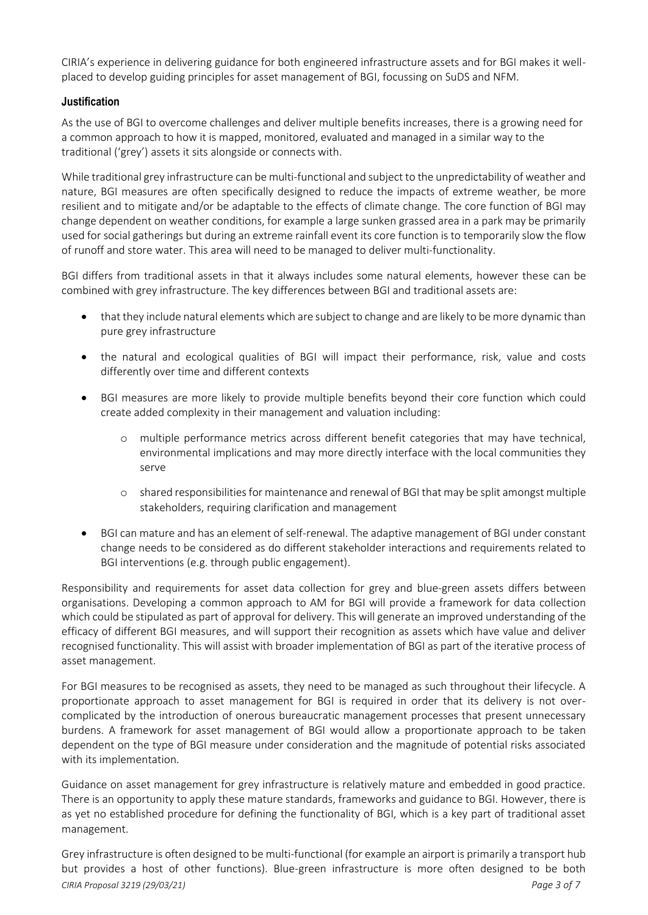CIRIA's experience in delivering guidance for both engineered infrastructure assets and for BGI makes it wellplaced to develop guiding principles for asset management of BGI, focussing on SuDS and NFM.

# **Justification**

As the use of BGI to overcome challenges and deliver multiple benefits increases, there is a growing need for a common approach to how it is mapped, monitored, evaluated and managed in a similar way to the traditional ('grey') assets it sits alongside or connects with.

While traditional grey infrastructure can be multi-functional and subject to the unpredictability of weather and nature, BGI measures are often specifically designed to reduce the impacts of extreme weather, be more resilient and to mitigate and/or be adaptable to the effects of climate change. The core function of BGI may change dependent on weather conditions, for example a large sunken grassed area in a park may be primarily used for social gatherings but during an extreme rainfall event its core function is to temporarily slow the flow of runoff and store water. This area will need to be managed to deliver multi-functionality.

BGI differs from traditional assets in that it always includes some natural elements, however these can be combined with grey infrastructure. The key differences between BGI and traditional assets are:

- that they include natural elements which are subject to change and are likely to be more dynamic than pure grey infrastructure
- the natural and ecological qualities of BGI will impact their performance, risk, value and costs differently over time and different contexts
- BGI measures are more likely to provide multiple benefits beyond their core function which could create added complexity in their management and valuation including:
	- multiple performance metrics across different benefit categories that may have technical, environmental implications and may more directly interface with the local communities they serve
	- o shared responsibilities for maintenance and renewal of BGI that may be split amongst multiple stakeholders, requiring clarification and management
- BGI can mature and has an element of self-renewal. The adaptive management of BGI under constant change needs to be considered as do different stakeholder interactions and requirements related to BGI interventions (e.g. through public engagement).

Responsibility and requirements for asset data collection for grey and blue-green assets differs between organisations. Developing a common approach to AM for BGI will provide a framework for data collection which could be stipulated as part of approval for delivery. This will generate an improved understanding of the efficacy of different BGI measures, and will support their recognition as assets which have value and deliver recognised functionality. This will assist with broader implementation of BGI as part of the iterative process of asset management.

For BGI measures to be recognised as assets, they need to be managed as such throughout their lifecycle. A proportionate approach to asset management for BGI is required in order that its delivery is not overcomplicated by the introduction of onerous bureaucratic management processes that present unnecessary burdens. A framework for asset management of BGI would allow a proportionate approach to be taken dependent on the type of BGI measure under consideration and the magnitude of potential risks associated with its implementation.

Guidance on asset management for grey infrastructure is relatively mature and embedded in good practice. There is an opportunity to apply these mature standards, frameworks and guidance to BGI. However, there is as yet no established procedure for defining the functionality of BGI, which is a key part of traditional asset management.

*CIRIA Proposal 3219 (29/03/21) Page 3 of 7* Grey infrastructure is often designed to be multi-functional (for example an airport is primarily a transport hub but provides a host of other functions). Blue-green infrastructure is more often designed to be both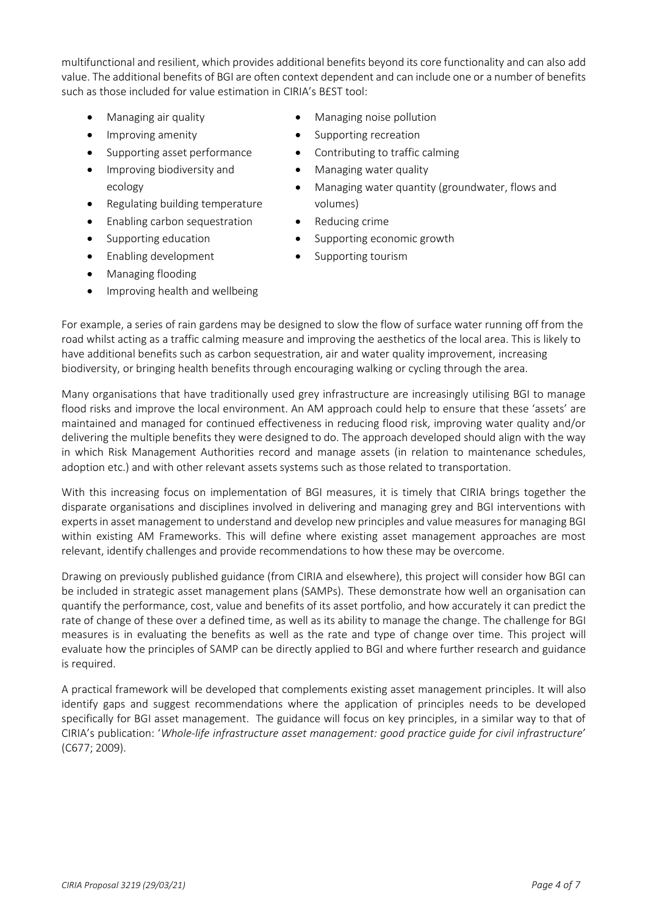multifunctional and resilient, which provides additional benefits beyond its core functionality and can also add value. The additional benefits of BGI are often context dependent and can include one or a number of benefits such as those included for value estimation in CIRIA's B£ST tool:

- Managing air quality
- Improving amenity
- Supporting asset performance
- **•** Improving biodiversity and ecology
- Regulating building temperature
- Enabling carbon sequestration
- Supporting education
- Enabling development
- Managing flooding
- Improving health and wellbeing
- Managing noise pollution
- Supporting recreation
- Contributing to traffic calming
- Managing water quality
- Managing water quantity (groundwater, flows and volumes)
- Reducing crime
- Supporting economic growth
- Supporting tourism

For example, a series of rain gardens may be designed to slow the flow of surface water running off from the road whilst acting as a traffic calming measure and improving the aesthetics of the local area. This is likely to have additional benefits such as carbon sequestration, air and water quality improvement, increasing biodiversity, or bringing health benefits through encouraging walking or cycling through the area.

Many organisations that have traditionally used grey infrastructure are increasingly utilising BGI to manage flood risks and improve the local environment. An AM approach could help to ensure that these 'assets' are maintained and managed for continued effectiveness in reducing flood risk, improving water quality and/or delivering the multiple benefits they were designed to do. The approach developed should align with the way in which Risk Management Authorities record and manage assets (in relation to maintenance schedules, adoption etc.) and with other relevant assets systems such as those related to transportation.

With this increasing focus on implementation of BGI measures, it is timely that CIRIA brings together the disparate organisations and disciplines involved in delivering and managing grey and BGI interventions with experts in asset management to understand and develop new principles and value measures for managing BGI within existing AM Frameworks. This will define where existing asset management approaches are most relevant, identify challenges and provide recommendations to how these may be overcome.

Drawing on previously published guidance (from CIRIA and elsewhere), this project will consider how BGI can be included in strategic asset management plans (SAMPs). These demonstrate how well an organisation can quantify the performance, cost, value and benefits of its asset portfolio, and how accurately it can predict the rate of change of these over a defined time, as well as its ability to manage the change. The challenge for BGI measures is in evaluating the benefits as well as the rate and type of change over time. This project will evaluate how the principles of SAMP can be directly applied to BGI and where further research and guidance is required.

A practical framework will be developed that complements existing asset management principles. It will also identify gaps and suggest recommendations where the application of principles needs to be developed specifically for BGI asset management. The guidance will focus on key principles, in a similar way to that of CIRIA's publication: '*Whole-life infrastructure asset management: good practice guide for civil infrastructure*' (C677; 2009).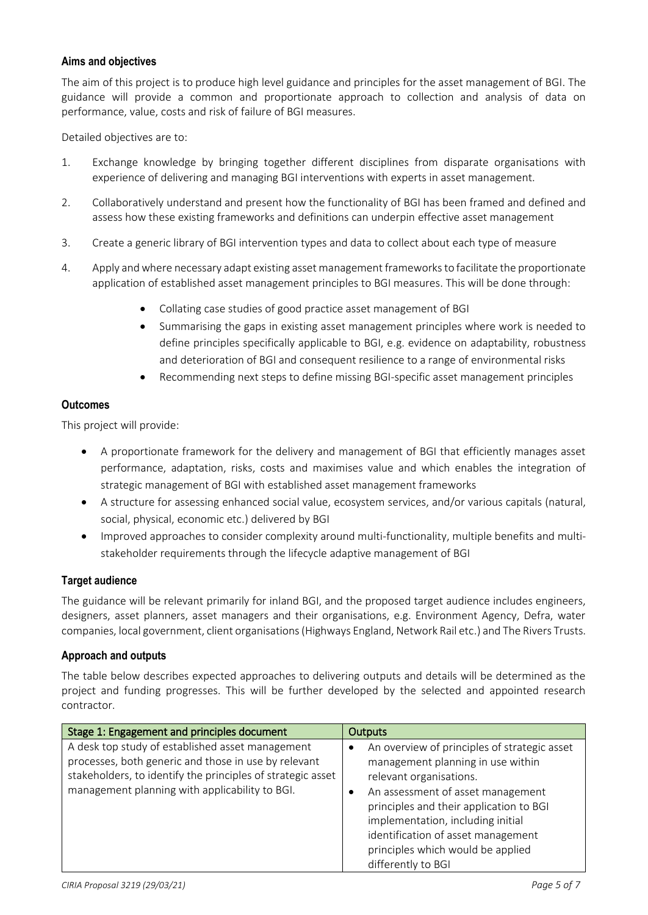# **Aims and objectives**

The aim of this project is to produce high level guidance and principles for the asset management of BGI. The guidance will provide a common and proportionate approach to collection and analysis of data on performance, value, costs and risk of failure of BGI measures.

Detailed objectives are to:

- 1. Exchange knowledge by bringing together different disciplines from disparate organisations with experience of delivering and managing BGI interventions with experts in asset management.
- 2. Collaboratively understand and present how the functionality of BGI has been framed and defined and assess how these existing frameworks and definitions can underpin effective asset management
- 3. Create a generic library of BGI intervention types and data to collect about each type of measure
- 4. Apply and where necessary adapt existing asset management frameworksto facilitate the proportionate application of established asset management principles to BGI measures. This will be done through:
	- Collating case studies of good practice asset management of BGI
	- Summarising the gaps in existing asset management principles where work is needed to define principles specifically applicable to BGI, e.g. evidence on adaptability, robustness and deterioration of BGI and consequent resilience to a range of environmental risks
	- Recommending next steps to define missing BGI-specific asset management principles

#### **Outcomes**

This project will provide:

- A proportionate framework for the delivery and management of BGI that efficiently manages asset performance, adaptation, risks, costs and maximises value and which enables the integration of strategic management of BGI with established asset management frameworks
- A structure for assessing enhanced social value, ecosystem services, and/or various capitals (natural, social, physical, economic etc.) delivered by BGI
- Improved approaches to consider complexity around multi-functionality, multiple benefits and multistakeholder requirements through the lifecycle adaptive management of BGI

# **Target audience**

The guidance will be relevant primarily for inland BGI, and the proposed target audience includes engineers, designers, asset planners, asset managers and their organisations, e.g. Environment Agency, Defra, water companies, local government, client organisations (Highways England, Network Rail etc.) and The Rivers Trusts.

#### **Approach and outputs**

The table below describes expected approaches to delivering outputs and details will be determined as the project and funding progresses. This will be further developed by the selected and appointed research contractor.

| Stage 1: Engagement and principles document                                                                                                                                                                               | <b>Outputs</b>                                                                                                                                                                                                                                                                                                                                  |
|---------------------------------------------------------------------------------------------------------------------------------------------------------------------------------------------------------------------------|-------------------------------------------------------------------------------------------------------------------------------------------------------------------------------------------------------------------------------------------------------------------------------------------------------------------------------------------------|
| A desk top study of established asset management<br>processes, both generic and those in use by relevant<br>stakeholders, to identify the principles of strategic asset<br>management planning with applicability to BGI. | An overview of principles of strategic asset<br>management planning in use within<br>relevant organisations.<br>An assessment of asset management<br>$\bullet$<br>principles and their application to BGI<br>implementation, including initial<br>identification of asset management<br>principles which would be applied<br>differently to BGI |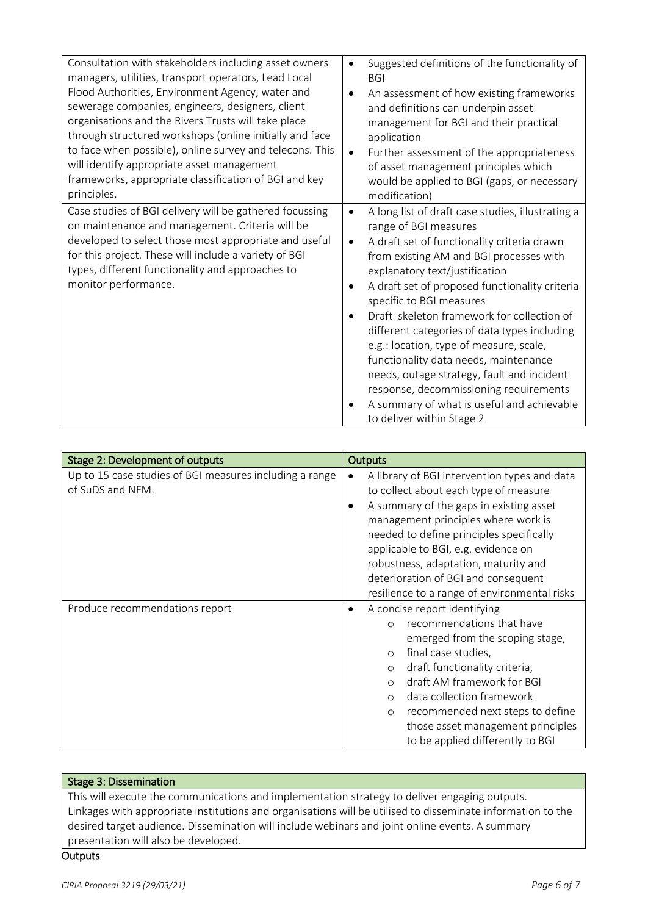| Consultation with stakeholders including asset owners<br>managers, utilities, transport operators, Lead Local<br>Flood Authorities, Environment Agency, water and<br>sewerage companies, engineers, designers, client<br>organisations and the Rivers Trusts will take place<br>through structured workshops (online initially and face<br>to face when possible), online survey and telecons. This<br>will identify appropriate asset management<br>frameworks, appropriate classification of BGI and key<br>principles. | Suggested definitions of the functionality of<br><b>BGI</b><br>An assessment of how existing frameworks<br>and definitions can underpin asset<br>management for BGI and their practical<br>application<br>Further assessment of the appropriateness<br>$\bullet$<br>of asset management principles which<br>would be applied to BGI (gaps, or necessary<br>modification)                                                                                                                                                                                                                                                                                                      |
|---------------------------------------------------------------------------------------------------------------------------------------------------------------------------------------------------------------------------------------------------------------------------------------------------------------------------------------------------------------------------------------------------------------------------------------------------------------------------------------------------------------------------|-------------------------------------------------------------------------------------------------------------------------------------------------------------------------------------------------------------------------------------------------------------------------------------------------------------------------------------------------------------------------------------------------------------------------------------------------------------------------------------------------------------------------------------------------------------------------------------------------------------------------------------------------------------------------------|
| Case studies of BGI delivery will be gathered focussing<br>on maintenance and management. Criteria will be<br>developed to select those most appropriate and useful<br>for this project. These will include a variety of BGI<br>types, different functionality and approaches to<br>monitor performance.                                                                                                                                                                                                                  | A long list of draft case studies, illustrating a<br>$\bullet$<br>range of BGI measures<br>A draft set of functionality criteria drawn<br>$\bullet$<br>from existing AM and BGI processes with<br>explanatory text/justification<br>A draft set of proposed functionality criteria<br>٠<br>specific to BGI measures<br>Draft skeleton framework for collection of<br>different categories of data types including<br>e.g.: location, type of measure, scale,<br>functionality data needs, maintenance<br>needs, outage strategy, fault and incident<br>response, decommissioning requirements<br>A summary of what is useful and achievable<br>٠<br>to deliver within Stage 2 |

| Stage 2: Development of outputs                         | <b>Outputs</b>                                            |
|---------------------------------------------------------|-----------------------------------------------------------|
| Up to 15 case studies of BGI measures including a range | A library of BGI intervention types and data<br>$\bullet$ |
| of SuDS and NFM.                                        | to collect about each type of measure                     |
|                                                         | A summary of the gaps in existing asset<br>٠              |
|                                                         | management principles where work is                       |
|                                                         | needed to define principles specifically                  |
|                                                         | applicable to BGI, e.g. evidence on                       |
|                                                         | robustness, adaptation, maturity and                      |
|                                                         | deterioration of BGI and consequent                       |
|                                                         | resilience to a range of environmental risks              |
| Produce recommendations report                          | A concise report identifying<br>٠                         |
|                                                         | recommendations that have<br>$\bigcap$                    |
|                                                         | emerged from the scoping stage,                           |
|                                                         | final case studies,<br>$\circ$                            |
|                                                         | draft functionality criteria,<br>$\circ$                  |
|                                                         | draft AM framework for BGI<br>$\bigcirc$                  |
|                                                         | data collection framework<br>$\circ$                      |
|                                                         | recommended next steps to define<br>$\circ$               |
|                                                         | those asset management principles                         |
|                                                         | to be applied differently to BGI                          |

# Stage 3: Dissemination

This will execute the communications and implementation strategy to deliver engaging outputs. Linkages with appropriate institutions and organisations will be utilised to disseminate information to the desired target audience. Dissemination will include webinars and joint online events. A summary presentation will also be developed.

# **Outputs**